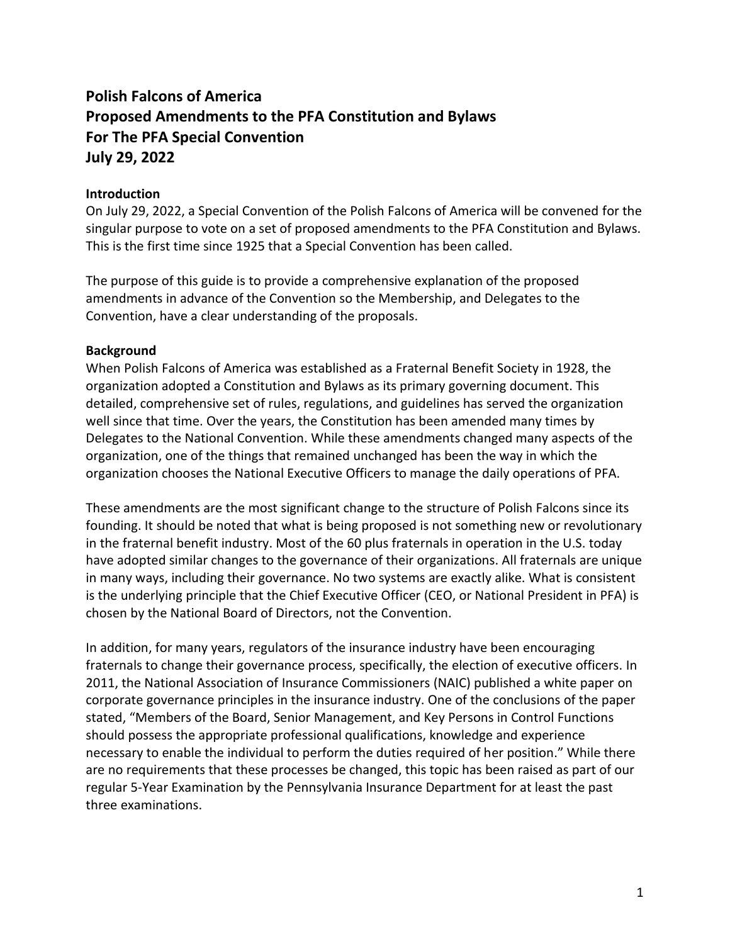# **Polish Falcons of America Proposed Amendments to the PFA Constitution and Bylaws For The PFA Special Convention July 29, 2022**

## **Introduction**

On July 29, 2022, a Special Convention of the Polish Falcons of America will be convened for the singular purpose to vote on a set of proposed amendments to the PFA Constitution and Bylaws. This is the first time since 1925 that a Special Convention has been called.

The purpose of this guide is to provide a comprehensive explanation of the proposed amendments in advance of the Convention so the Membership, and Delegates to the Convention, have a clear understanding of the proposals.

#### **Background**

When Polish Falcons of America was established as a Fraternal Benefit Society in 1928, the organization adopted a Constitution and Bylaws as its primary governing document. This detailed, comprehensive set of rules, regulations, and guidelines has served the organization well since that time. Over the years, the Constitution has been amended many times by Delegates to the National Convention. While these amendments changed many aspects of the organization, one of the things that remained unchanged has been the way in which the organization chooses the National Executive Officers to manage the daily operations of PFA.

These amendments are the most significant change to the structure of Polish Falcons since its founding. It should be noted that what is being proposed is not something new or revolutionary in the fraternal benefit industry. Most of the 60 plus fraternals in operation in the U.S. today have adopted similar changes to the governance of their organizations. All fraternals are unique in many ways, including their governance. No two systems are exactly alike. What is consistent is the underlying principle that the Chief Executive Officer (CEO, or National President in PFA) is chosen by the National Board of Directors, not the Convention.

In addition, for many years, regulators of the insurance industry have been encouraging fraternals to change their governance process, specifically, the election of executive officers. In 2011, the National Association of Insurance Commissioners (NAIC) published a white paper on corporate governance principles in the insurance industry. One of the conclusions of the paper stated, "Members of the Board, Senior Management, and Key Persons in Control Functions should possess the appropriate professional qualifications, knowledge and experience necessary to enable the individual to perform the duties required of her position." While there are no requirements that these processes be changed, this topic has been raised as part of our regular 5-Year Examination by the Pennsylvania Insurance Department for at least the past three examinations.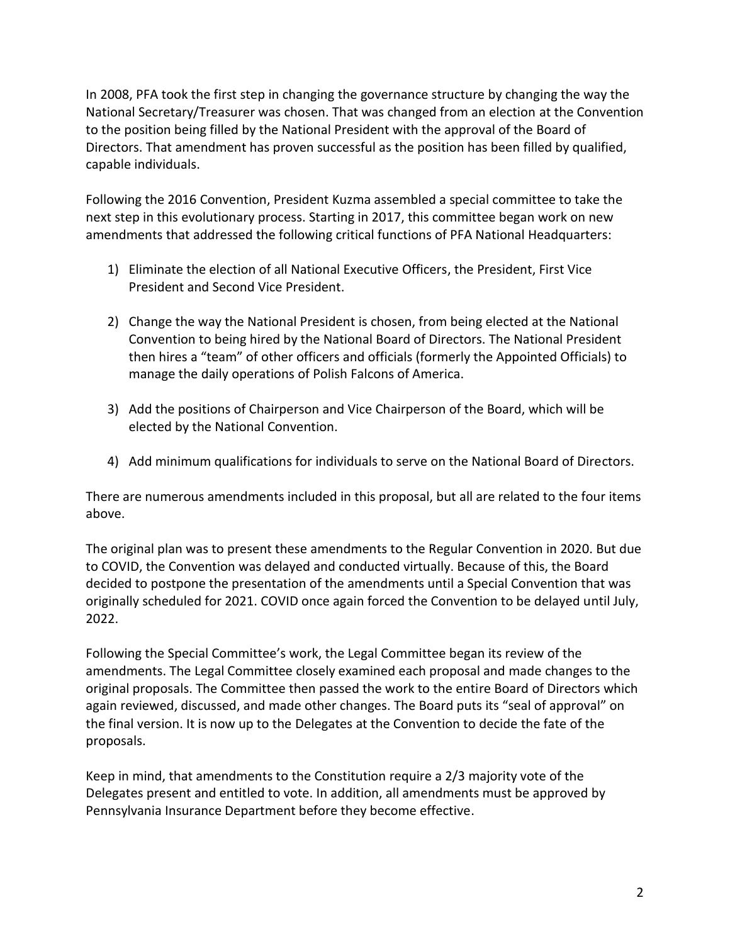In 2008, PFA took the first step in changing the governance structure by changing the way the National Secretary/Treasurer was chosen. That was changed from an election at the Convention to the position being filled by the National President with the approval of the Board of Directors. That amendment has proven successful as the position has been filled by qualified, capable individuals.

Following the 2016 Convention, President Kuzma assembled a special committee to take the next step in this evolutionary process. Starting in 2017, this committee began work on new amendments that addressed the following critical functions of PFA National Headquarters:

- 1) Eliminate the election of all National Executive Officers, the President, First Vice President and Second Vice President.
- 2) Change the way the National President is chosen, from being elected at the National Convention to being hired by the National Board of Directors. The National President then hires a "team" of other officers and officials (formerly the Appointed Officials) to manage the daily operations of Polish Falcons of America.
- 3) Add the positions of Chairperson and Vice Chairperson of the Board, which will be elected by the National Convention.
- 4) Add minimum qualifications for individuals to serve on the National Board of Directors.

There are numerous amendments included in this proposal, but all are related to the four items above.

The original plan was to present these amendments to the Regular Convention in 2020. But due to COVID, the Convention was delayed and conducted virtually. Because of this, the Board decided to postpone the presentation of the amendments until a Special Convention that was originally scheduled for 2021. COVID once again forced the Convention to be delayed until July, 2022.

Following the Special Committee's work, the Legal Committee began its review of the amendments. The Legal Committee closely examined each proposal and made changes to the original proposals. The Committee then passed the work to the entire Board of Directors which again reviewed, discussed, and made other changes. The Board puts its "seal of approval" on the final version. It is now up to the Delegates at the Convention to decide the fate of the proposals.

Keep in mind, that amendments to the Constitution require a 2/3 majority vote of the Delegates present and entitled to vote. In addition, all amendments must be approved by Pennsylvania Insurance Department before they become effective.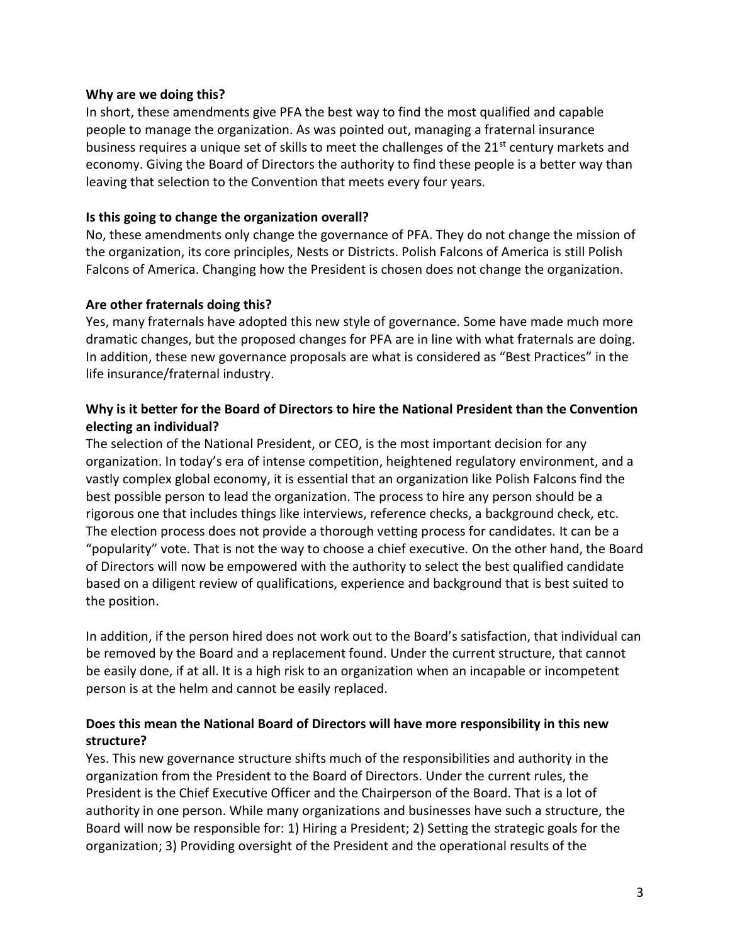#### **Why are we doing this?**

In short, these amendments give PFA the best way to find the most qualified and capable people to manage the organization. As was pointed out, managing a fraternal insurance business requires a unique set of skills to meet the challenges of the 21<sup>st</sup> century markets and economy. Giving the Board of Directors the authority to find these people is a better way than leaving that selection to the Convention that meets every four years.

#### **Is this going to change the organization overall?**

No, these amendments only change the governance of PFA. They do not change the mission of the organization, its core principles, Nests or Districts. Polish Falcons of America is still Polish Falcons of America. Changing how the President is chosen does not change the organization.

#### **Are other fraternals doing this?**

Yes, many fraternals have adopted this new style of governance. Some have made much more dramatic changes, but the proposed changes for PFA are in line with what fraternals are doing. In addition, these new governance proposals are what is considered as "Best Practices" in the life insurance/fraternal industry.

## **Why is it better for the Board of Directors to hire the National President than the Convention electing an individual?**

The selection of the National President, or CEO, is the most important decision for any organization. In today's era of intense competition, heightened regulatory environment, and a vastly complex global economy, it is essential that an organization like Polish Falcons find the best possible person to lead the organization. The process to hire any person should be a rigorous one that includes things like interviews, reference checks, a background check, etc. The election process does not provide a thorough vetting process for candidates. It can be a "popularity" vote. That is not the way to choose a chief executive. On the other hand, the Board of Directors will now be empowered with the authority to select the best qualified candidate based on a diligent review of qualifications, experience and background that is best suited to the position.

In addition, if the person hired does not work out to the Board's satisfaction, that individual can be removed by the Board and a replacement found. Under the current structure, that cannot be easily done, if at all. It is a high risk to an organization when an incapable or incompetent person is at the helm and cannot be easily replaced.

# **Does this mean the National Board of Directors will have more responsibility in this new structure?**

Yes. This new governance structure shifts much of the responsibilities and authority in the organization from the President to the Board of Directors. Under the current rules, the President is the Chief Executive Officer and the Chairperson of the Board. That is a lot of authority in one person. While many organizations and businesses have such a structure, the Board will now be responsible for: 1) Hiring a President; 2) Setting the strategic goals for the organization; 3) Providing oversight of the President and the operational results of the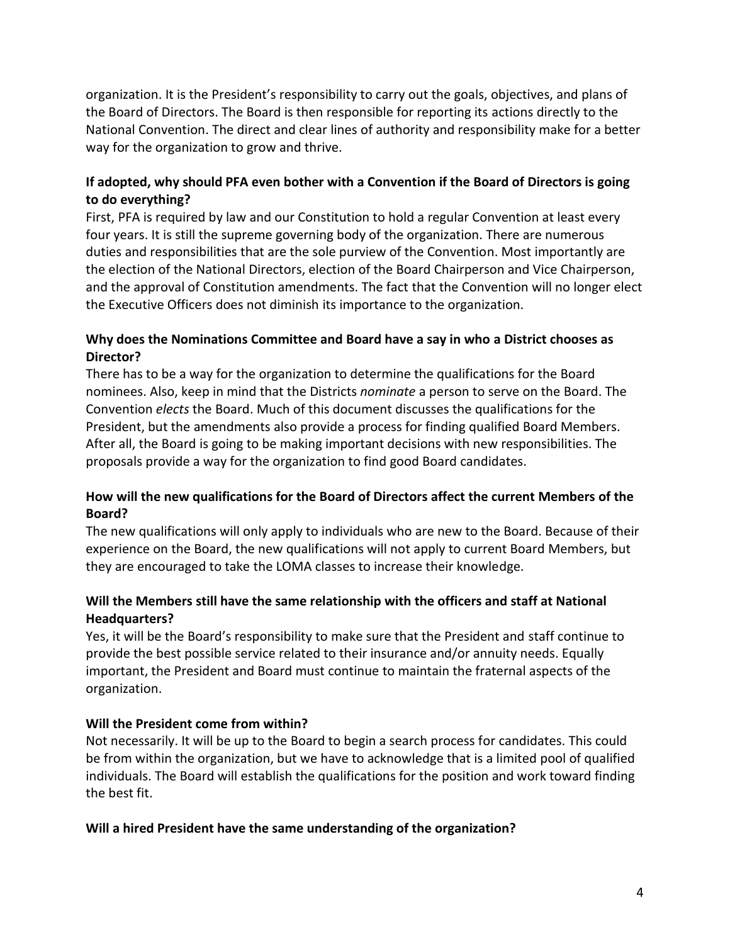organization. It is the President's responsibility to carry out the goals, objectives, and plans of the Board of Directors. The Board is then responsible for reporting its actions directly to the National Convention. The direct and clear lines of authority and responsibility make for a better way for the organization to grow and thrive.

# **If adopted, why should PFA even bother with a Convention if the Board of Directors is going to do everything?**

First, PFA is required by law and our Constitution to hold a regular Convention at least every four years. It is still the supreme governing body of the organization. There are numerous duties and responsibilities that are the sole purview of the Convention. Most importantly are the election of the National Directors, election of the Board Chairperson and Vice Chairperson, and the approval of Constitution amendments. The fact that the Convention will no longer elect the Executive Officers does not diminish its importance to the organization.

# **Why does the Nominations Committee and Board have a say in who a District chooses as Director?**

There has to be a way for the organization to determine the qualifications for the Board nominees. Also, keep in mind that the Districts *nominate* a person to serve on the Board. The Convention *elects* the Board. Much of this document discusses the qualifications for the President, but the amendments also provide a process for finding qualified Board Members. After all, the Board is going to be making important decisions with new responsibilities. The proposals provide a way for the organization to find good Board candidates.

# **How will the new qualifications for the Board of Directors affect the current Members of the Board?**

The new qualifications will only apply to individuals who are new to the Board. Because of their experience on the Board, the new qualifications will not apply to current Board Members, but they are encouraged to take the LOMA classes to increase their knowledge.

# **Will the Members still have the same relationship with the officers and staff at National Headquarters?**

Yes, it will be the Board's responsibility to make sure that the President and staff continue to provide the best possible service related to their insurance and/or annuity needs. Equally important, the President and Board must continue to maintain the fraternal aspects of the organization.

# **Will the President come from within?**

Not necessarily. It will be up to the Board to begin a search process for candidates. This could be from within the organization, but we have to acknowledge that is a limited pool of qualified individuals. The Board will establish the qualifications for the position and work toward finding the best fit.

# **Will a hired President have the same understanding of the organization?**